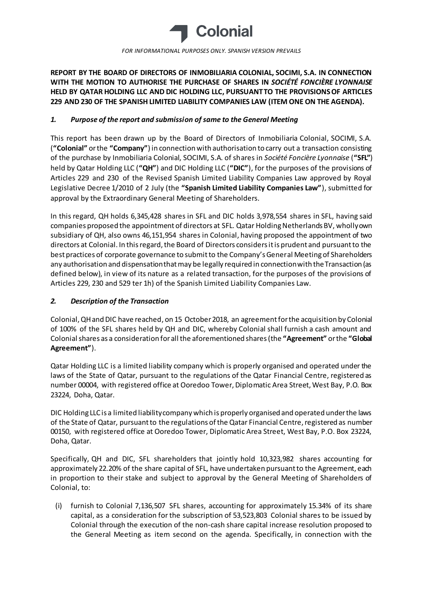

**REPORT BY THE BOARD OF DIRECTORS OF INMOBILIARIA COLONIAL, SOCIMI, S.A. IN CONNECTION WITH THE MOTION TO AUTHORISE THE PURCHASE OF SHARES IN** *SOCIÉTÉ FONCIÈRE LYONNAISE*  **HELD BY QATAR HOLDING LLC AND DIC HOLDING LLC, PURSUANT TO THE PROVISIONS OF ARTICLES 229 AND 230 OF THE SPANISH LIMITED LIABILITY COMPANIES LAW (ITEM ONE ON THE AGENDA).**

## *1. Purpose of the report and submission of same to the General Meeting*

This report has been drawn up by the Board of Directors of Inmobiliaria Colonial, SOCIMI, S.A. (**"Colonial"** or the **"Company"**) in connection with authorisation to carry out a transaction consisting of the purchase by Inmobiliaria Colonial, SOCIMI, S.A. of shares in *Société Foncière Lyonnaise* (**"SFL"**) held by Qatar Holding LLC (**"QH"**) and DIC Holding LLC (**"DIC"**), for the purposes of the provisions of Articles 229 and 230 of the Revised Spanish Limited Liability Companies Law approved by Royal Legislative Decree 1/2010 of 2 July (the **"Spanish Limited Liability Companies Law"**), submitted for approval by the Extraordinary General Meeting of Shareholders.

In this regard, QH holds 6,345,428 shares in SFL and DIC holds 3,978,554 shares in SFL, having said companies proposed the appointment of directors at SFL. Qatar Holding Netherlands BV, wholly own subsidiary of QH, also owns 46,151,954 shares in Colonial, having proposed the appointment of two directors at Colonial. In this regard, the Board of Directors considers it is prudent and pursuant to the best practices of corporate governance to submit to the Company's General Meeting of Shareholders any authorisation and dispensation that may be legally required in connection with the Transaction (as defined below), in view of its nature as a related transaction, for the purposes of the provisions of Articles 229, 230 and 529 ter 1h) of the Spanish Limited Liability Companies Law.

## *2. Description of the Transaction*

Colonial, QH and DIC have reached, on 15 October 2018, an agreement for the acquisition by Colonial of 100% of the SFL shares held by QH and DIC, whereby Colonial shall furnish a cash amount and Colonial shares as a consideration for all the aforementioned shares (the **"Agreement"** or the **"Global Agreement"**).

Qatar Holding LLC is a limited liability company which is properly organised and operated under the laws of the State of Qatar, pursuant to the regulations of the Qatar Financial Centre, registered as number 00004, with registered office at Ooredoo Tower, Diplomatic Area Street, West Bay, P.O. Box 23224, Doha, Qatar.

DIC Holding LLC is a limited liability company which is properly organised and operated under the laws of the State of Qatar, pursuant to the regulations of the Qatar Financial Centre, registered as number 00150, with registered office at Ooredoo Tower, Diplomatic Area Street, West Bay, P.O. Box 23224, Doha, Qatar.

Specifically, QH and DIC, SFL shareholders that jointly hold 10,323,982 shares accounting for approximately 22.20% of the share capital of SFL, have undertaken pursuant to the Agreement, each in proportion to their stake and subject to approval by the General Meeting of Shareholders of Colonial, to:

(i) furnish to Colonial 7,136,507 SFL shares, accounting for approximately 15.34% of its share capital, as a consideration for the subscription of 53,523,803 Colonial shares to be issued by Colonial through the execution of the non-cash share capital increase resolution proposed to the General Meeting as item second on the agenda. Specifically, in connection with the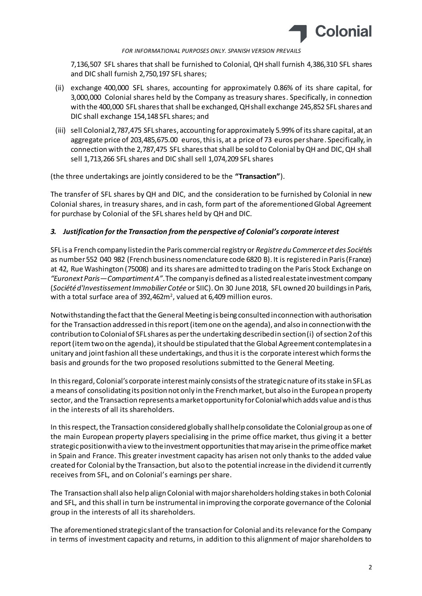

7,136,507 SFL shares that shall be furnished to Colonial, QH shall furnish 4,386,310 SFL shares and DIC shall furnish 2,750,197 SFL shares;

- (ii) exchange 400,000 SFL shares, accounting for approximately 0.86% of its share capital, for 3,000,000 Colonial shares held by the Company as treasury shares. Specifically, in connection with the 400,000 SFL shares that shall be exchanged, QH shall exchange 245,852 SFL shares and DIC shall exchange 154,148 SFL shares; and
- (iii) sell Colonial 2,787,475 SFL shares, accounting for approximately 5.99% of its share capital, at an aggregate price of 203,485,675.00 euros, this is, at a price of 73 euros per share. Specifically, in connection with the 2,787,475 SFL shares that shall be sold to Colonial by QH and DIC, QH shall sell 1,713,266 SFL shares and DIC shall sell 1,074,209 SFL shares

(the three undertakings are jointly considered to be the **"Transaction"**).

The transfer of SFL shares by QH and DIC, and the consideration to be furnished by Colonial in new Colonial shares, in treasury shares, and in cash, form part of the aforementioned Global Agreement for purchase by Colonial of the SFL shares held by QH and DIC.

### *3. Justification for the Transaction from the perspective of Colonial's corporate interest*

SFL is a French company listed in the Paris commercial registry or *Registre du Commerce et des Sociétés* as number 552 040 982 (French business nomenclature code 6820 B). It is registered in Paris (France) at 42, Rue Washington (75008) and its shares are admitted to trading on the Paris Stock Exchange on *"Euronext Paris—Compartiment A"*. The company is defined as a listed real estate investment company (*Société d'Investissement Immobilier Cotée* or SIIC). On 30 June 2018, SFL owned 20 buildings in Paris, with a total surface area of 392,462 $m^2$ , valued at 6,409 million euros.

Notwithstanding the fact that the General Meeting is being consulted in connection with authorisation for the Transaction addressed in this report (item one on the agenda), and also in connection with the contribution to Colonial of SFL shares as per the undertaking described in section (i) of section 2 of this report (item two on the agenda), it should be stipulated that the Global Agreement contemplates in a unitary and joint fashion all these undertakings, and thus it is the corporate interest which forms the basis and grounds for the two proposed resolutions submitted to the General Meeting.

In this regard, Colonial's corporate interest mainly consists of the strategic nature of its stake in SFL as a means of consolidating its position not only in the French market, but also in the European property sector, and the Transaction represents a market opportunity for Colonial which adds value and is thus in the interests of all its shareholders.

In this respect, the Transaction considered globally shall help consolidate the Colonial group as one of the main European property players specialising in the prime office market, thus giving it a better strategic position with a view to the investment opportunities that may arise in the prime office market in Spain and France. This greater investment capacity has arisen not only thanks to the added value created for Colonial by the Transaction, but also to the potential increase in the dividend it currently receives from SFL, and on Colonial's earnings per share.

The Transaction shall also help align Colonial with major shareholders holding stakes in both Colonial and SFL, and this shall in turn be instrumental in improving the corporate governance of the Colonial group in the interests of all its shareholders.

The aforementioned strategic slant of the transaction for Colonial and its relevance for the Company in terms of investment capacity and returns, in addition to this alignment of major shareholders to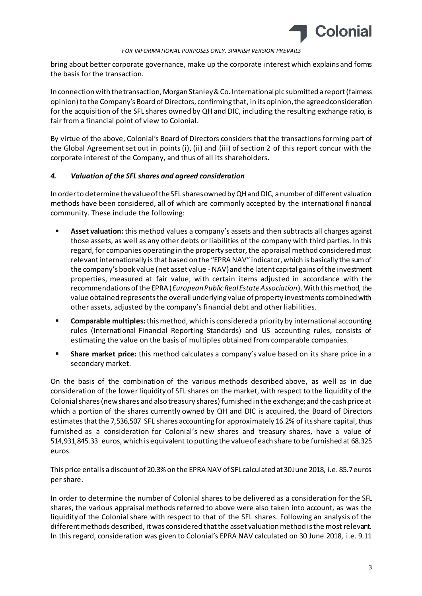

bring about better corporate governance, make up the corporate interest which explains and forms the basis for the transaction.

In connection with the transaction, Morgan Stanley & Co. International plc submitted a report (fairness opinion) to the Company's Board of Directors, confirming that, in its opinion, the agreed consideration for the acquisition of the SFL shares owned by QH and DIC, including the resulting exchange ratio, is fair from a financial point of view to Colonial.

By virtue of the above, Colonial's Board of Directors considers that the transactions forming part of the Global Agreement set out in points (i), (ii) and (iii) of section 2 of this report concur with the corporate interest of the Company, and thus of all its shareholders.

### *4. Valuation of the SFL shares and agreed consideration*

In order to determine the value of the SFL shares owned by QH and DIC, a number of different valuation methods have been considered, all of which are commonly accepted by the international financial community. These include the following:

- **Asset valuation:** this method values a company's assets and then subtracts all charges against those assets, as well as any other debts or liabilities of the company with third parties. In this regard, for companies operating in the property sector, the appraisal method considered most relevant internationally is that based on the "EPRA NAV" indicator, which is basically the sum of the company's book value (net asset value -NAV) and the latent capital gains of the investment properties, measured at fair value, with certain items adjusted in accordance with the recommendations of the EPRA (*European Public Real Estate Association*). With this method, the value obtained represents the overall underlying value of property investments combined with other assets, adjusted by the company's financial debt and other liabilities.
- **Comparable multiples:**this method, which is considered a priority by international accounting rules (International Financial Reporting Standards) and US accounting rules, consists of estimating the value on the basis of multiples obtained from comparable companies.
- **Share market price:** this method calculates a company's value based on its share price in a secondary market.

On the basis of the combination of the various methods described above, as well as in due consideration of the lower liquidity of SFL shares on the market, with respect to the liquidity of the Colonial shares (new shares and also treasury shares) furnished in the exchange; and the cash price at which a portion of the shares currently owned by QH and DIC is acquired, the Board of Directors estimates that the 7,536,507 SFL shares accounting for approximately 16.2% of its share capital, thus furnished as a consideration for Colonial's new shares and treasury shares, have a value of 514,931,845.33 euros, which is equivalent to putting the value of each share to be furnished at 68.325 euros.

This price entails a discount of 20.3% on the EPRA NAV of SFL calculated at 30 June 2018, i.e. 85.7 euros per share.

In order to determine the number of Colonial shares to be delivered as a consideration for the SFL shares, the various appraisal methods referred to above were also taken into account, as was the liquidity of the Colonial share with respect to that of the SFL shares. Following an analysis of the different methods described, it was considered that the asset valuation method is the most relevant. In this regard, consideration was given to Colonial's EPRA NAV calculated on 30 June 2018, i.e. 9.11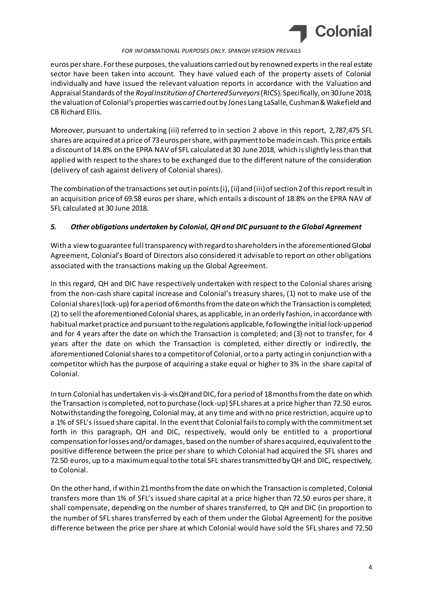

euros per share. For these purposes, the valuations carried out by renowned experts in the real estate sector have been taken into account. They have valued each of the property assets of Colonial individually and have issued the relevant valuation reports in accordance with the Valuation and Appraisal Standards of the *Royal Institution of Chartered Surveyors*(RICS). Specifically, on 30 June 2018, the valuation of Colonial's properties was carried out by Jones Lang LaSalle, Cushman & Wakefield and CB Richard Ellis.

Moreover, pursuant to undertaking (iii) referred to in section 2 above in this report, 2,787,475 SFL shares are acquired at a price of 73 euros per share, with payment to be made in cash. This price entails a discount of 14.8% on the EPRA NAV of SFL calculated at 30 June 2018, which is slightly less than that applied with respect to the shares to be exchanged due to the different nature of the consideration (delivery of cash against delivery of Colonial shares).

The combination of the transactions set out in points (i), (ii) and (iii) of section 2 of this report result in an acquisition price of 69.58 euros per share, which entails a discount of 18.8% on the EPRA NAV of SFL calculated at 30 June 2018.

# *5. Other obligations undertaken by Colonial, QH and DIC pursuant to the Global Agreement*

With a view to guarantee full transparency with regard to shareholders in the aforementioned Global Agreement, Colonial's Board of Directors also considered it advisable to report on other obligations associated with the transactions making up the Global Agreement.

In this regard, QH and DIC have respectively undertaken with respect to the Colonial shares arising from the non-cash share capital increase and Colonial's treasury shares, (1) not to make use of the Colonial shares (lock-up) for a period of 6 months from the date on which the Transaction is completed; (2) to sell the aforementioned Colonial shares, as applicable, in an orderly fashion, in accordance with habitual market practice and pursuant to the regulations applicable, following the initial lock-up period and for 4 years after the date on which the Transaction is completed; and (3) not to transfer, for 4 years after the date on which the Transaction is completed, either directly or indirectly, the aforementioned Colonial shares to a competitor of Colonial, or to a party acting in conjunction with a competitor which has the purpose of acquiring a stake equal or higher to 3% in the share capital of Colonial.

In turn Colonial has undertaken vis-à-vis QH and DIC, for a period of 18months from the date on which the Transaction is completed, not to purchase (lock-up) SFL shares at a price higherthan 72.50 euros. Notwithstanding the foregoing, Colonial may, at any time and with no price restriction, acquire up to a 1% of SFL's issued share capital. In the event that Colonial fails to comply with the commitment set forth in this paragraph, QH and DIC, respectively, would only be entitled to a proportional compensation for losses and/or damages, based on the number of shares acquired, equivalent to the positive difference between the price per share to which Colonial had acquired the SFL shares and 72.50 euros, up to a maximum equal to the total SFL shares transmitted by QH and DIC, respectively, to Colonial.

On the other hand, if within 21months from the date on which the Transaction is completed, Colonial transfers more than 1% of SFL's issued share capital at a price higher than 72.50 euros per share, it shall compensate, depending on the number of shares transferred, to QH and DIC (in proportion to the number of SFL shares transferred by each of them under the Global Agreement) for the positive difference between the price per share at which Colonial would have sold the SFL shares and 72.50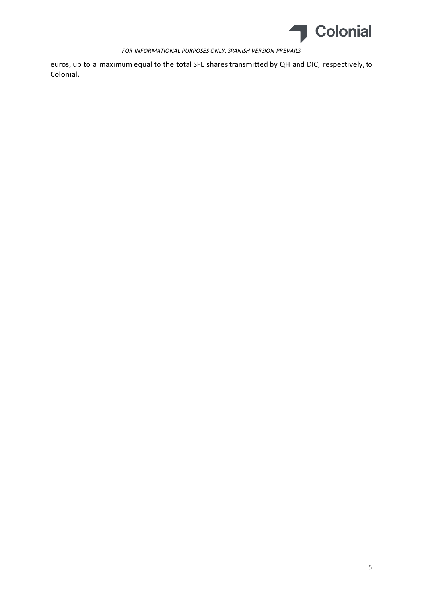

euros, up to a maximum equal to the total SFL shares transmitted by QH and DIC, respectively, to Colonial.